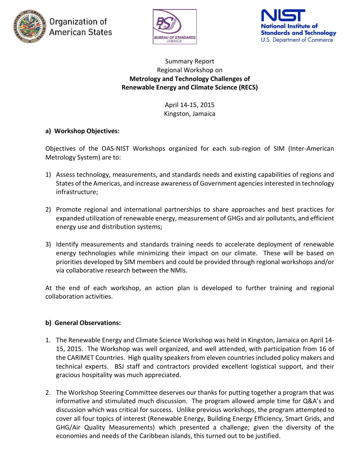





#### Summary Report Regional Workshop on **Metrology and Technology Challenges of Renewable Energy and Climate Science (RECS)**

April 14-15, 2015 Kingston, Jamaica

## **a) Workshop Objectives:**

Objectives of the OAS-NIST Workshops organized for each sub-region of SIM (Inter-American Metrology System) are to:

- 1) Assess technology, measurements, and standards needs and existing capabilities of regions and States of the Americas, and increase awareness of Government agencies interested in technology infrastructure;
- 2) Promote regional and international partnerships to share approaches and best practices for expanded utilization of renewable energy, measurement of GHGs and air pollutants, and efficient energy use and distribution systems;
- 3) Identify measurements and standards training needs to accelerate deployment of renewable energy technologies while minimizing their impact on our climate. These will be based on priorities developed by SIM members and could be provided through regional workshops and/or via collaborative research between the NMIs.

At the end of each workshop, an action plan is developed to further training and regional collaboration activities.

### **b) General Observations:**

- 1. The Renewable Energy and Climate Science Workshop was held in Kingston, Jamaica on April 14- 15, 2015. The Workshop was well organized, and well attended, with participation from 16 of the CARIMET Countries. High quality speakers from eleven countries included policy makers and technical experts. BSJ staff and contractors provided excellent logistical support, and their gracious hospitality was much appreciated.
- 2. The Workshop Steering Committee deserves our thanks for putting together a program that was informative and stimulated much discussion. The program allowed ample time for Q&A's and discussion which was critical for success. Unlike previous workshops, the program attempted to cover all four topics of interest (Renewable Energy, Building Energy Efficiency, Smart Grids, and GHG/Air Quality Measurements) which presented a challenge; given the diversity of the economies and needs of the Caribbean islands, this turned out to be justified.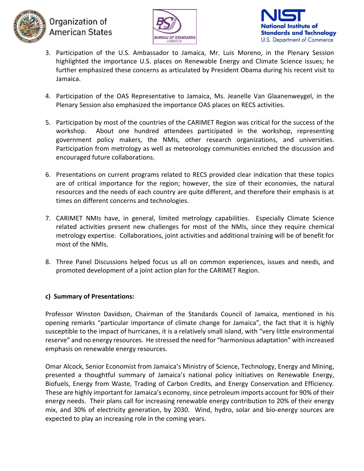





- 3. Participation of the U.S. Ambassador to Jamaica, Mr. Luis Moreno, in the Plenary Session highlighted the importance U.S. places on Renewable Energy and Climate Science issues; he further emphasized these concerns as articulated by President Obama during his recent visit to Jamaica.
- 4. Participation of the OAS Representative to Jamaica, Ms. Jeanelle Van Glaanenweygel, in the Plenary Session also emphasized the importance OAS places on RECS activities.
- 5. Participation by most of the countries of the CARIMET Region was critical for the success of the workshop. About one hundred attendees participated in the workshop, representing government policy makers, the NMIs, other research organizations, and universities. Participation from metrology as well as meteorology communities enriched the discussion and encouraged future collaborations.
- 6. Presentations on current programs related to RECS provided clear indication that these topics are of critical importance for the region; however, the size of their economies, the natural resources and the needs of each country are quite different, and therefore their emphasis is at times on different concerns and technologies.
- 7. CARIMET NMIs have, in general, limited metrology capabilities. Especially Climate Science related activities present new challenges for most of the NMIs, since they require chemical metrology expertise. Collaborations, joint activities and additional training will be of benefit for most of the NMIs.
- 8. Three Panel Discussions helped focus us all on common experiences, issues and needs, and promoted development of a joint action plan for the CARIMET Region.

## **c) Summary of Presentations:**

Professor Winston Davidson, Chairman of the Standards Council of Jamaica, mentioned in his opening remarks "particular importance of climate change for Jamaica", the fact that it is highly susceptible to the impact of hurricanes, it is a relatively small island, with "very little environmental reserve" and no energy resources. He stressed the need for "harmonious adaptation" with increased emphasis on renewable energy resources.

Omar Alcock, Senior Economist from Jamaica's Ministry of Science, Technology, Energy and Mining, presented a thoughtful summary of Jamaica's national policy initiatives on Renewable Energy, Biofuels, Energy from Waste, Trading of Carbon Credits, and Energy Conservation and Efficiency. These are highly important for Jamaica's economy, since petroleum imports account for 90% of their energy needs. Their plans call for increasing renewable energy contribution to 20% of their energy mix, and 30% of electricity generation, by 2030. Wind, hydro, solar and bio-energy sources are expected to play an increasing role in the coming years.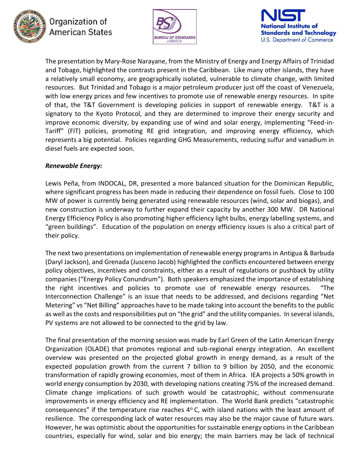





The presentation by Mary-Rose Narayane, from the Ministry of Energy and Energy Affairs of Trinidad and Tobago, highlighted the contrasts present in the Caribbean. Like many other islands, they have a relatively small economy, are geographically isolated, vulnerable to climate change, with limited resources. But Trinidad and Tobago is a major petroleum producer just off the coast of Venezuela, with low energy prices and few incentives to promote use of renewable energy resources. In spite of that, the T&T Government is developing policies in support of renewable energy. T&T is a signatory to the Kyoto Protocol, and they are determined to improve their energy security and improve economic diversity, by expanding use of wind and solar energy, implementing "Feed-in-Tariff" (FIT) policies, promoting RE grid integration, and improving energy efficiency, which represents a big potential. Policies regarding GHG Measurements, reducing sulfur and vanadium in diesel fuels are expected soon.

#### *Renewable Energy:*

Lewis Peña, from INDOCAL, DR, presented a more balanced situation for the Dominican Republic, where significant progress has been made in reducing their dependence on fossil fuels. Close to 100 MW of power is currently being generated using renewable resources (wind, solar and biogas), and new construction is underway to further expand their capacity by another 300 MW. DR National Energy Efficiency Policy is also promoting higher efficiency light bulbs, energy labelling systems, and "green buildings". Education of the population on energy efficiency issues is also a critical part of their policy.

The next two presentations on implementation of renewable energy programs in Antigua & Barbuda (Daryl Jackson), and Grenada (Jusceno Jacob) highlighted the conflicts encountered between energy policy objectives, incentives and constraints, either as a result of regulations or pushback by utility companies ("Energy Policy Conundrum"). Both speakers emphasized the importance of establishing the right incentives and policies to promote use of renewable energy resources. "The Interconnection Challenge" is an issue that needs to be addressed, and decisions regarding "Net Metering" vs "Net Billing" approaches have to be made taking into account the benefits to the public as well as the costs and responsibilities put on "the grid" and the utility companies. In several islands, PV systems are not allowed to be connected to the grid by law.

The final presentation of the morning session was made by Earl Green of the Latin American Energy Organization (OLADE) that promotes regional and sub-regional energy integration. An excellent overview was presented on the projected global growth in energy demand, as a result of the expected population growth from the current 7 billion to 9 billion by 2050, and the economic transformation of rapidly growing economies, most of them in Africa. IEA projects a 50% growth in world energy consumption by 2030, with developing nations creating 75% of the increased demand. Climate change implications of such growth would be catastrophic, without commensurate improvements in energy efficiency and RE implementation. The World Bank predicts "catastrophic consequences" if the temperature rise reaches  $4^{\circ}$  C, with island nations with the least amount of resilience. The corresponding lack of water resources may also be the major cause of future wars. However, he was optimistic about the opportunities for sustainable energy options in the Caribbean countries, especially for wind, solar and bio energy; the main barriers may be lack of technical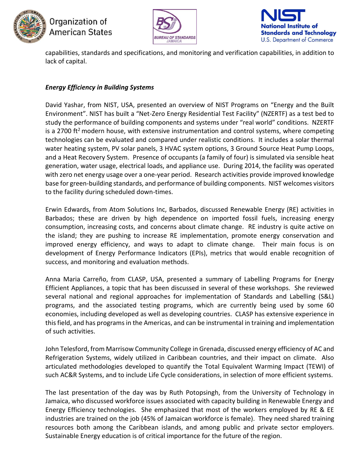





capabilities, standards and specifications, and monitoring and verification capabilities, in addition to lack of capital.

### *Energy Efficiency in Building Systems*

David Yashar, from NIST, USA, presented an overview of NIST Programs on "Energy and the Built Environment". NIST has built a "Net-Zero Energy Residential Test Facility" (NZERTF) as a test bed to study the performance of building components and systems under "real world" conditions. NZERTF is a 2700 ft<sup>2</sup> modern house, with extensive instrumentation and control systems, where competing technologies can be evaluated and compared under realistic conditions. It includes a solar thermal water heating system, PV solar panels, 3 HVAC system options, 3 Ground Source Heat Pump Loops, and a Heat Recovery System. Presence of occupants (a family of four) is simulated via sensible heat generation, water usage, electrical loads, and appliance use. During 2014, the facility was operated with zero net energy usage over a one-year period. Research activities provide improved knowledge base for green-building standards, and performance of building components. NIST welcomes visitors to the facility during scheduled down-times.

Erwin Edwards, from Atom Solutions Inc, Barbados, discussed Renewable Energy (RE) activities in Barbados; these are driven by high dependence on imported fossil fuels, increasing energy consumption, increasing costs, and concerns about climate change. RE industry is quite active on the island; they are pushing to increase RE implementation, promote energy conservation and improved energy efficiency, and ways to adapt to climate change. Their main focus is on development of Energy Performance Indicators (EPIs), metrics that would enable recognition of success, and monitoring and evaluation methods.

Anna Maria Carreño, from CLASP, USA, presented a summary of Labelling Programs for Energy Efficient Appliances, a topic that has been discussed in several of these workshops. She reviewed several national and regional approaches for implementation of Standards and Labelling (S&L) programs, and the associated testing programs, which are currently being used by some 60 economies, including developed as well as developing countries. CLASP has extensive experience in this field, and has programs in the Americas, and can be instrumental in training and implementation of such activities.

John Telesford, from Marrisow Community College in Grenada, discussed energy efficiency of AC and Refrigeration Systems, widely utilized in Caribbean countries, and their impact on climate. Also articulated methodologies developed to quantify the Total Equivalent Warming Impact (TEWI) of such AC&R Systems, and to include Life Cycle considerations, in selection of more efficient systems.

The last presentation of the day was by Ruth Potopsingh, from the University of Technology in Jamaica, who discussed workforce issues associated with capacity building in Renewable Energy and Energy Efficiency technologies. She emphasized that most of the workers employed by RE & EE industries are trained on the job (45% of Jamaican workforce is female). They need shared training resources both among the Caribbean islands, and among public and private sector employers. Sustainable Energy education is of critical importance for the future of the region.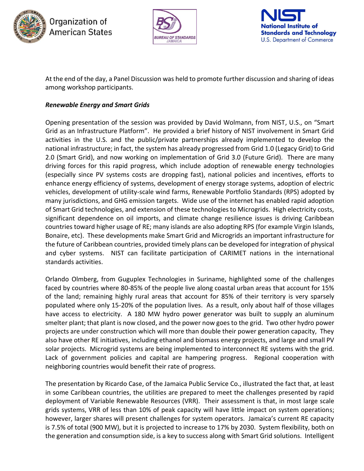





At the end of the day, a Panel Discussion was held to promote further discussion and sharing of ideas among workshop participants.

### *Renewable Energy and Smart Grids*

Opening presentation of the session was provided by David Wolmann, from NIST, U.S., on "Smart Grid as an Infrastructure Platform". He provided a brief history of NIST involvement in Smart Grid activities in the U.S. and the public/private partnerships already implemented to develop the national infrastructure; in fact, the system has already progressed from Grid 1.0 (Legacy Grid) to Grid 2.0 (Smart Grid), and now working on implementation of Grid 3.0 (Future Grid). There are many driving forces for this rapid progress, which include adoption of renewable energy technologies (especially since PV systems costs are dropping fast), national policies and incentives, efforts to enhance energy efficiency of systems, development of energy storage systems, adoption of electric vehicles, development of utility-scale wind farms, Renewable Portfolio Standards (RPS) adopted by many jurisdictions, and GHG emission targets. Wide use of the internet has enabled rapid adoption of Smart Grid technologies, and extension of these technologies to Microgrids. High electricity costs, significant dependence on oil imports, and climate change resilience issues is driving Caribbean countries toward higher usage of RE; many islands are also adopting RPS (for example Virgin Islands, Bonaire, etc). These developments make Smart Grid and Microgrids an important infrastructure for the future of Caribbean countries, provided timely plans can be developed for integration of physical and cyber systems. NIST can facilitate participation of CARIMET nations in the international standards activities.

Orlando Olmberg, from Guguplex Technologies in Suriname, highlighted some of the challenges faced by countries where 80-85% of the people live along coastal urban areas that account for 15% of the land; remaining highly rural areas that account for 85% of their territory is very sparsely populated where only 15-20% of the population lives. As a result, only about half of those villages have access to electricity. A 180 MW hydro power generator was built to supply an aluminum smelter plant; that plant is now closed, and the power now goes to the grid. Two other hydro power projects are under construction which will more than double their power generation capacity, They also have other RE initiatives, including ethanol and biomass energy projects, and large and small PV solar projects. Microgrid systems are being implemented to interconnect RE systems with the grid. Lack of government policies and capital are hampering progress. Regional cooperation with neighboring countries would benefit their rate of progress.

The presentation by Ricardo Case, of the Jamaica Public Service Co., illustrated the fact that, at least in some Caribbean countries, the utilities are prepared to meet the challenges presented by rapid deployment of Variable Renewable Resources (VRR). Their assessment is that, in most large scale grids systems, VRR of less than 10% of peak capacity will have little impact on system operations; however, larger shares will present challenges for system operators. Jamaica's current RE capacity is 7.5% of total (900 MW), but it is projected to increase to 17% by 2030. System flexibility, both on the generation and consumption side, is a key to success along with Smart Grid solutions. Intelligent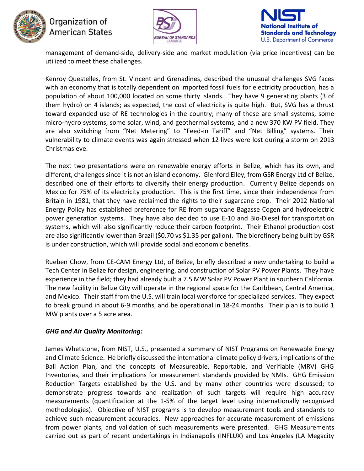





management of demand-side, delivery-side and market modulation (via price incentives) can be utilized to meet these challenges.

Kenroy Questelles, from St. Vincent and Grenadines, described the unusual challenges SVG faces with an economy that is totally dependent on imported fossil fuels for electricity production, has a population of about 100,000 located on some thirty islands. They have 9 generating plants (3 of them hydro) on 4 islands; as expected, the cost of electricity is quite high. But, SVG has a thrust toward expanded use of RE technologies in the country; many of these are small systems, some micro-hydro systems, some solar, wind, and geothermal systems, and a new 370 KW PV field. They are also switching from "Net Metering" to "Feed-in Tariff" and "Net Billing" systems. Their vulnerability to climate events was again stressed when 12 lives were lost during a storm on 2013 Christmas eve.

The next two presentations were on renewable energy efforts in Belize, which has its own, and different, challenges since it is not an island economy. Glenford Eiley, from GSR Energy Ltd of Belize, described one of their efforts to diversify their energy production. Currently Belize depends on Mexico for 75% of its electricity production. This is the first time, since their independence from Britain in 1981, that they have reclaimed the rights to their sugarcane crop. Their 2012 National Energy Policy has established preference for RE from sugarcane Bagasse Cogen and hydroelectric power generation systems. They have also decided to use E-10 and Bio-Diesel for transportation systems, which will also significantly reduce their carbon footprint. Their Ethanol production cost are also significantly lower than Brazil (\$0.70 vs \$1.35 per gallon). The biorefinery being built by GSR is under construction, which will provide social and economic benefits.

Rueben Chow, from CE-CAM Energy Ltd, of Belize, briefly described a new undertaking to build a Tech Center in Belize for design, engineering, and construction of Solar PV Power Plants. They have experience in the field; they had already built a 7.5 MW Solar PV Power Plant in southern California. The new facility in Belize City will operate in the regional space for the Caribbean, Central America, and Mexico. Their staff from the U.S. will train local workforce for specialized services. They expect to break ground in about 6-9 months, and be operational in 18-24 months. Their plan is to build 1 MW plants over a 5 acre area.

### *GHG and Air Quality Monitoring:*

James Whetstone, from NIST, U.S., presented a summary of NIST Programs on Renewable Energy and Climate Science. He briefly discussed the international climate policy drivers, implications of the Bali Action Plan, and the concepts of Measureable, Reportable, and Verifiable (MRV) GHG Inventories, and their implications for measurement standards provided by NMIs. GHG Emission Reduction Targets established by the U.S. and by many other countries were discussed; to demonstrate progress towards and realization of such targets will require high accuracy measurements (quantification at the 1-5% of the target level using internationally recognized methodologies). Objective of NIST programs is to develop measurement tools and standards to achieve such measurement accuracies. New approaches for accurate measurement of emissions from power plants, and validation of such measurements were presented. GHG Measurements carried out as part of recent undertakings in Indianapolis (INFLUX) and Los Angeles (LA Megacity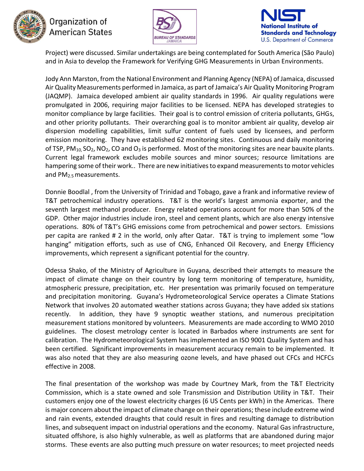





Project) were discussed. Similar undertakings are being contemplated for South America (São Paulo) and in Asia to develop the Framework for Verifying GHG Measurements in Urban Environments.

Jody Ann Marston, from the National Environment and Planning Agency (NEPA) of Jamaica, discussed Air Quality Measurements performed in Jamaica, as part of Jamaica's Air Quality Monitoring Program (JAQMP). Jamaica developed ambient air quality standards in 1996. Air quality regulations were promulgated in 2006, requiring major facilities to be licensed. NEPA has developed strategies to monitor compliance by large facilities. Their goal is to control emission of criteria pollutants, GHGs, and other priority pollutants. Their overarching goal is to monitor ambient air quality, develop air dispersion modelling capabilities, limit sulfur content of fuels used by licensees, and perform emission monitoring. They have established 62 monitoring sites. Continuous and daily monitoring of TSP, PM<sub>10</sub>, SO<sub>2</sub>, NO<sub>2</sub>, CO and O<sub>3</sub> is performed. Most of the monitoring sites are near bauxite plants. Current legal framework excludes mobile sources and minor sources; resource limitations are hampering some of their work.. There are new initiatives to expand measurements to motor vehicles and PM2.5 measurements.

Donnie Boodlal , from the University of Trinidad and Tobago, gave a frank and informative review of T&T petrochemical industry operations. T&T is the world's largest ammonia exporter, and the seventh largest methanol producer. Energy related operations account for more than 50% of the GDP. Other major industries include iron, steel and cement plants, which are also energy intensive operations. 80% of T&T's GHG emissions come from petrochemical and power sectors. Emissions per capita are ranked # 2 in the world, only after Qatar. T&T is trying to implement some "low hanging" mitigation efforts, such as use of CNG, Enhanced Oil Recovery, and Energy Efficiency improvements, which represent a significant potential for the country.

Odessa Shako, of the Ministry of Agriculture in Guyana, described their attempts to measure the impact of climate change on their country by long term monitoring of temperature, humidity, atmospheric pressure, precipitation, etc. Her presentation was primarily focused on temperature and precipitation monitoring. Guyana's Hydrometeorological Service operates a Climate Stations Network that involves 20 automated weather stations across Guyana; they have added six stations recently. In addition, they have 9 synoptic weather stations, and numerous precipitation measurement stations monitored by volunteers. Measurements are made according to WMO 2010 guidelines. The closest metrology center is located in Barbados where instruments are sent for calibration. The Hydrometeorological System has implemented an ISO 9001 Quality System and has been certified. Significant improvements in measurement accuracy remain to be implemented. It was also noted that they are also measuring ozone levels, and have phased out CFCs and HCFCs effective in 2008.

The final presentation of the workshop was made by Courtney Mark, from the T&T Electricity Commission, which is a state owned and sole Transmission and Distribution Utility in T&T. Their customers enjoy one of the lowest electricity charges (6 US Cents per kWh) in the Americas. There is major concern about the impact of climate change on their operations; these include extreme wind and rain events, extended draughts that could result in fires and resulting damage to distribution lines, and subsequent impact on industrial operations and the economy. Natural Gas infrastructure, situated offshore, is also highly vulnerable, as well as platforms that are abandoned during major storms. These events are also putting much pressure on water resources; to meet projected needs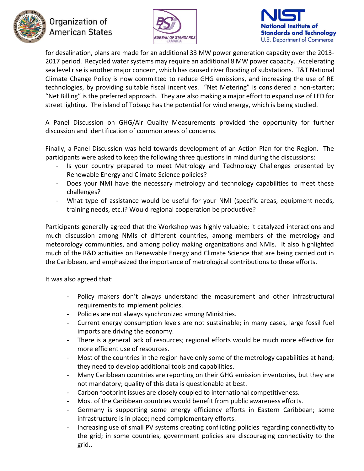





for desalination, plans are made for an additional 33 MW power generation capacity over the 2013- 2017 period. Recycled water systems may require an additional 8 MW power capacity. Accelerating sea level rise is another major concern, which has caused river flooding of substations. T&T National Climate Change Policy is now committed to reduce GHG emissions, and increasing the use of RE technologies, by providing suitable fiscal incentives. "Net Metering" is considered a non-starter; "Net Billing" is the preferred approach. They are also making a major effort to expand use of LED for street lighting. The island of Tobago has the potential for wind energy, which is being studied.

A Panel Discussion on GHG/Air Quality Measurements provided the opportunity for further discussion and identification of common areas of concerns.

Finally, a Panel Discussion was held towards development of an Action Plan for the Region. The participants were asked to keep the following three questions in mind during the discussions:

- Is your country prepared to meet Metrology and Technology Challenges presented by Renewable Energy and Climate Science policies?
- Does your NMI have the necessary metrology and technology capabilities to meet these challenges?
- What type of assistance would be useful for your NMI (specific areas, equipment needs, training needs, etc.)? Would regional cooperation be productive?

Participants generally agreed that the Workshop was highly valuable; it catalyzed interactions and much discussion among NMIs of different countries, among members of the metrology and meteorology communities, and among policy making organizations and NMIs. It also highlighted much of the R&D activities on Renewable Energy and Climate Science that are being carried out in the Caribbean, and emphasized the importance of metrological contributions to these efforts.

It was also agreed that:

- Policy makers don't always understand the measurement and other infrastructural requirements to implement policies.
- Policies are not always synchronized among Ministries.
- Current energy consumption levels are not sustainable; in many cases, large fossil fuel imports are driving the economy.
- There is a general lack of resources; regional efforts would be much more effective for more efficient use of resources.
- Most of the countries in the region have only some of the metrology capabilities at hand; they need to develop additional tools and capabilities.
- Many Caribbean countries are reporting on their GHG emission inventories, but they are not mandatory; quality of this data is questionable at best.
- Carbon footprint issues are closely coupled to international competitiveness.
- Most of the Caribbean countries would benefit from public awareness efforts.
- Germany is supporting some energy efficiency efforts in Eastern Caribbean; some infrastructure is in place; need complementary efforts.
- Increasing use of small PV systems creating conflicting policies regarding connectivity to the grid; in some countries, government policies are discouraging connectivity to the grid..